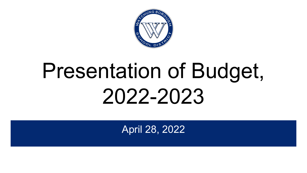

# Presentation of Budget, 2022-2023

April 28, 2022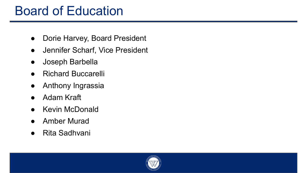#### Board of Education

- Dorie Harvey, Board President
- Jennifer Scharf, Vice President
- Joseph Barbella
- **Richard Buccarelli**
- Anthony Ingrassia
- Adam Kraft
- **Kevin McDonald**
- Amber Murad
- Rita Sadhvani

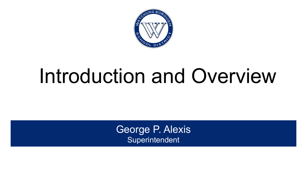

## Introduction and Overview

George P. Alexis **Superintendent**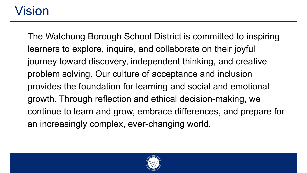#### Vision

The Watchung Borough School District is committed to inspiring learners to explore, inquire, and collaborate on their joyful journey toward discovery, independent thinking, and creative problem solving. Our culture of acceptance and inclusion provides the foundation for learning and social and emotional growth. Through reflection and ethical decision-making, we continue to learn and grow, embrace differences, and prepare for an increasingly complex, ever-changing world.

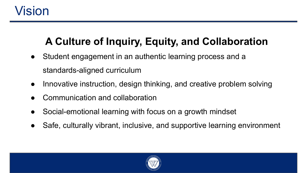#### Vision

#### **A Culture of Inquiry, Equity, and Collaboration**

- Student engagement in an authentic learning process and a standards-aligned curriculum
- Innovative instruction, design thinking, and creative problem solving
- Communication and collaboration
- Social-emotional learning with focus on a growth mindset
- Safe, culturally vibrant, inclusive, and supportive learning environment

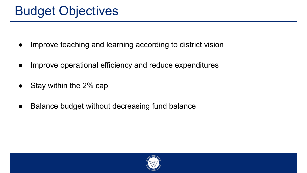- Improve teaching and learning according to district vision
- Improve operational efficiency and reduce expenditures
- Stay within the 2% cap
- Balance budget without decreasing fund balance

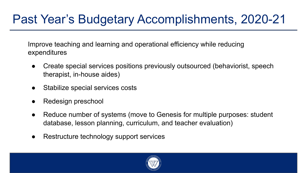#### Past Year's Budgetary Accomplishments, 2020-21

Improve teaching and learning and operational efficiency while reducing expenditures

- Create special services positions previously outsourced (behaviorist, speech therapist, in-house aides)
- Stabilize special services costs
- Redesign preschool
- Reduce number of systems (move to Genesis for multiple purposes: student database, lesson planning, curriculum, and teacher evaluation)
- Restructure technology support services

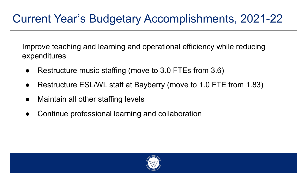Improve teaching and learning and operational efficiency while reducing expenditures

- Restructure music staffing (move to 3.0 FTEs from 3.6)
- Restructure ESL/WL staff at Bayberry (move to 1.0 FTE from 1.83)
- Maintain all other staffing levels
- Continue professional learning and collaboration

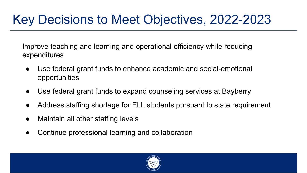### Key Decisions to Meet Objectives, 2022-2023

Improve teaching and learning and operational efficiency while reducing expenditures

- Use federal grant funds to enhance academic and social-emotional opportunities
- Use federal grant funds to expand counseling services at Bayberry
- Address staffing shortage for ELL students pursuant to state requirement
- Maintain all other staffing levels
- Continue professional learning and collaboration

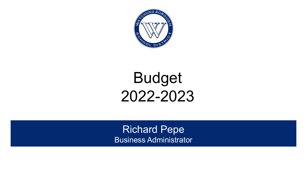

## Budget 2022-2023

Richard Pepe Business Administrator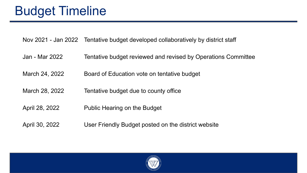#### Nov 2021 - Jan 2022 Tentative budget developed collaboratively by district staff

- Jan Mar 2022 Tentative budget reviewed and revised by Operations Committee
- March 24, 2022 Board of Education vote on tentative budget
- March 28, 2022 Tentative budget due to county office
- April 28, 2022 Public Hearing on the Budget
- April 30, 2022 User Friendly Budget posted on the district website

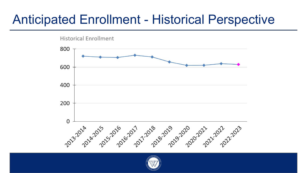#### Anticipated Enrollment - Historical Perspective



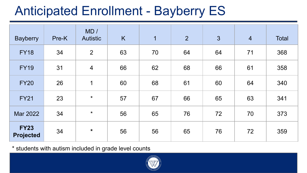### Anticipated Enrollment - Bayberry ES

| <b>Bayberry</b>                 | Pre-K | MD/<br><b>Autistic</b> | K  | $\overline{1}$ | $\overline{2}$ | $\mathbf{3}$ | $\overline{4}$ | <b>Total</b> |
|---------------------------------|-------|------------------------|----|----------------|----------------|--------------|----------------|--------------|
| <b>FY18</b>                     | 34    | $\overline{2}$         | 63 | 70             | 64             | 64           | 71             | 368          |
| <b>FY19</b>                     | 31    | $\overline{4}$         | 66 | 62             | 68             | 66           | 61             | 358          |
| <b>FY20</b>                     | 26    | $\mathbf 1$            | 60 | 68             | 61             | 60           | 64             | 340          |
| <b>FY21</b>                     | 23    | $\star$                | 57 | 67             | 66             | 65           | 63             | 341          |
| Mar 2022                        | 34    | $\star$                | 56 | 65             | 76             | 72           | 70             | 373          |
| <b>FY23</b><br><b>Projected</b> | 34    | $\star$                | 56 | 56             | 65             | 76           | 72             | 359          |

\* students with autism included in grade level counts

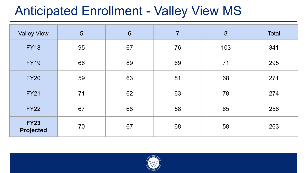#### Anticipated Enrollment - Valley View MS

| <b>Valley View</b>              | 5  | $6\phantom{1}6$ | $\overline{7}$ | 8   | Total |
|---------------------------------|----|-----------------|----------------|-----|-------|
| <b>FY18</b>                     | 95 | 67              | 76             | 103 | 341   |
| <b>FY19</b>                     | 66 | 89              | 69             | 71  | 295   |
| <b>FY20</b>                     | 59 | 63              | 81             | 68  | 271   |
| <b>FY21</b>                     | 71 | 62              | 63             | 78  | 274   |
| <b>FY22</b>                     | 67 | 68              | 58             | 65  | 258   |
| <b>FY23</b><br><b>Projected</b> | 70 | 67              | 68             | 58  | 263   |

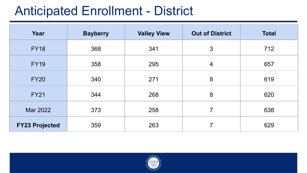#### Anticipated Enrollment - District

| Year                  | <b>Bayberry</b> | <b>Valley View</b> | <b>Out of District</b>  | <b>Total</b> |
|-----------------------|-----------------|--------------------|-------------------------|--------------|
| <b>FY18</b>           | 368             | 341                | 3                       | 712          |
| <b>FY19</b>           | 358             | 295                | $\overline{\mathbf{4}}$ | 657          |
| <b>FY20</b>           | 340             | 271                | 8                       | 619          |
| <b>FY21</b>           | 344             | 268                | 8                       | 620          |
| Mar 2022              | 373             | 258                | $\overline{7}$          | 638          |
| <b>FY23 Projected</b> | 359             | 263                | 7                       | 629          |

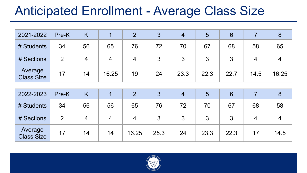#### Anticipated Enrollment - Average Class Size

| 2021-2022                    | Pre-K |    |       |    | $\bullet$<br>C | 4    | 5    | 6    |      |       |
|------------------------------|-------|----|-------|----|----------------|------|------|------|------|-------|
| # Students                   | 34    | 56 | 65    | 76 | 72             | 70   | 67   | 68   | 58   | 65    |
| # Sections                   | 2     |    | 4     | 4  | 3              | 3    | 3    | 3    | 4    |       |
| Average<br><b>Class Size</b> | 17    | 14 | 16.25 | 19 | 24             | 23.3 | 22.3 | 22.7 | 14.5 | 16.25 |

| 2022-2023                    | Pre-K | Κ  |    |       |      |    | 5    | 6    |    |      |
|------------------------------|-------|----|----|-------|------|----|------|------|----|------|
| # Students                   | 34    | 56 | 56 | 65    | 76   | 72 | 70   | 67   | 68 | 58   |
| # Sections                   |       | 4  | 4  | 4     | 3    | 3  | 3    |      |    |      |
| Average<br><b>Class Size</b> | 17    | 14 | 14 | 16.25 | 25.3 | 24 | 23.3 | 22.3 |    | 14.5 |

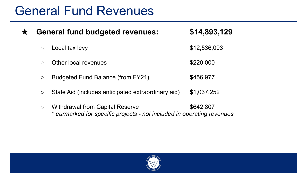#### General Fund Revenues

★ **General fund budgeted revenues: \$14,893,129**  $\circ$  Local tax levy  $$12,536,093$ ○ Other local revenues \$220,000 ○ Budgeted Fund Balance (from FY21) \$456,977 ○ State Aid (includes anticipated extraordinary aid) \$1,037,252 ○ Withdrawal from Capital Reserve \$642,807 \* *earmarked for specific projects - not included in operating revenues*

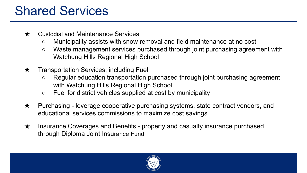#### Shared Services

- ★ Custodial and Maintenance Services
	- Municipality assists with snow removal and field maintenance at no cost
	- Waste management services purchased through joint purchasing agreement with Watchung Hills Regional High School
- $\star$  Transportation Services, including Fuel
	- Regular education transportation purchased through joint purchasing agreement with Watchung Hills Regional High School
	- Fuel for district vehicles supplied at cost by municipality
- $\star$  Purchasing leverage cooperative purchasing systems, state contract vendors, and educational services commissions to maximize cost savings
- ★ Insurance Coverages and Benefits property and casualty insurance purchased through Diploma Joint Insurance Fund

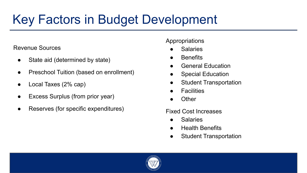### Key Factors in Budget Development

#### Revenue Sources

- State aid (determined by state)
- Preschool Tuition (based on enrollment)
- Local Taxes (2% cap)
- Excess Surplus (from prior year)
- Reserves (for specific expenditures)

#### Appropriations

- **Salaries**
- **Benefits**
- **General Education**
- **Special Education**
- **Student Transportation**
- **Facilities**
- **Other**

#### Fixed Cost Increases

- **Salaries**
- **Health Benefits**
- **Student Transportation**

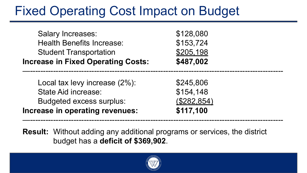#### Fixed Operating Cost Impact on Budget

| <b>Increase in Fixed Operating Costs:</b> | \$487,002 |
|-------------------------------------------|-----------|
| <b>Student Transportation</b>             | \$205,198 |
| <b>Health Benefits Increase:</b>          | \$153,724 |
| <b>Salary Increases:</b>                  | \$128,080 |

| Increase in operating revenues: | \$117,100          |
|---------------------------------|--------------------|
| Budgeted excess surplus:        | <u>(\$282,854)</u> |
| State Aid increase:             | \$154,148          |
| Local tax levy increase (2%):   | \$245,806          |

**Result:** Without adding any additional programs or services, the district budget has a **deficit of \$369,902**.



—---------------------------------------------------------------------------------------------------

—---------------------------------------------------------------------------------------------------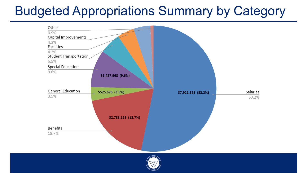### Budgeted Appropriations Summary by Category



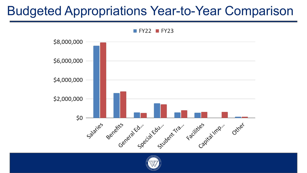#### Budgeted Appropriations Year-to-Year Comparison



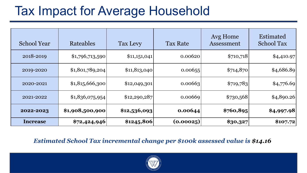#### Tax Impact for Average Household

| <b>School Year</b> | Rateables       | Tax Levy     | <b>Tax Rate</b> | Avg Home<br>Assessment | Estimated<br><b>School Tax</b> |
|--------------------|-----------------|--------------|-----------------|------------------------|--------------------------------|
| 2018-2019          | \$1,796,713,590 | \$11,151,041 | 0.00620         | \$710,718              | \$4,410.97                     |
| 2019-2020          | \$1,801,789,204 | \$11,813,040 | 0.00655         | \$714,870              | \$4,686.89                     |
| 2020-2021          | \$1,815,666,300 | \$12,049,301 | 0.00663         | \$719,783              | \$4,776.69                     |
| 2021-2022          | \$1,836,075,954 | \$12,290,287 | 0.00669         | \$730,568              | \$4,890.26                     |
| 2022-2023          | \$1,908,500,900 | \$12,536,093 | 0.00644         | \$760,895              | \$4,997.98                     |
| Increase           | \$72,424,946    | \$1245,806   | (0.00025)       | \$30,327               | \$107.72                       |

*Estimated School Tax incremental change per \$100k assessed value is \$14.16*